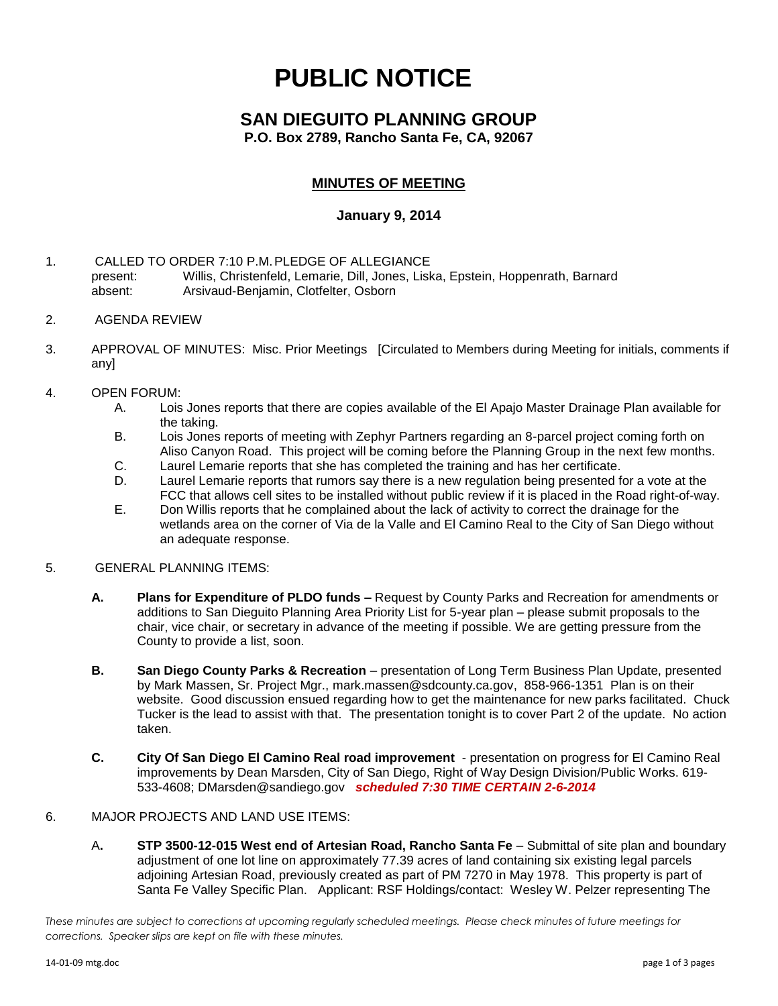# **PUBLIC NOTICE**

## **SAN DIEGUITO PLANNING GROUP**

**P.O. Box 2789, Rancho Santa Fe, CA, 92067**

### **MINUTES OF MEETING**

#### **January 9, 2014**

- 1. CALLED TO ORDER 7:10 P.M.PLEDGE OF ALLEGIANCE present: Willis, Christenfeld, Lemarie, Dill, Jones, Liska, Epstein, Hoppenrath, Barnard absent: Arsivaud-Benjamin, Clotfelter, Osborn
- 2. AGENDA REVIEW
- 3. APPROVAL OF MINUTES: Misc. Prior Meetings [Circulated to Members during Meeting for initials, comments if any]
- 4. OPEN FORUM:
	- A. Lois Jones reports that there are copies available of the El Apajo Master Drainage Plan available for the taking.
	- B. Lois Jones reports of meeting with Zephyr Partners regarding an 8-parcel project coming forth on Aliso Canyon Road. This project will be coming before the Planning Group in the next few months.
	- C. Laurel Lemarie reports that she has completed the training and has her certificate.
	- D. Laurel Lemarie reports that rumors say there is a new regulation being presented for a vote at the FCC that allows cell sites to be installed without public review if it is placed in the Road right-of-way.
	- E. Don Willis reports that he complained about the lack of activity to correct the drainage for the wetlands area on the corner of Via de la Valle and El Camino Real to the City of San Diego without an adequate response.
- 5. GENERAL PLANNING ITEMS:
	- **A. Plans for Expenditure of PLDO funds –** Request by County Parks and Recreation for amendments or additions to San Dieguito Planning Area Priority List for 5-year plan – please submit proposals to the chair, vice chair, or secretary in advance of the meeting if possible. We are getting pressure from the County to provide a list, soon.
	- **B. San Diego County Parks & Recreation** presentation of Long Term Business Plan Update, presented by Mark Massen, Sr. Project Mgr., [mark.massen@sdcounty.ca.gov,](mailto:mark.massen@sdcounty.ca.gov) 858-966-1351 Plan is on their website. Good discussion ensued regarding how to get the maintenance for new parks facilitated. Chuck Tucker is the lead to assist with that. The presentation tonight is to cover Part 2 of the update. No action taken.
	- **C. City Of San Diego El Camino Real road improvement**  presentation on progress for El Camino Real improvements by Dean Marsden, City of San Diego, Right of Way Design Division/Public Works. 619- 533-4608; [DMarsden@sandiego.gov](mailto:DMarsden@sandiego.gov) *scheduled 7:30 TIME CERTAIN 2-6-2014*

#### 6. MAJOR PROJECTS AND LAND USE ITEMS:

A**. STP 3500-12-015 West end of Artesian Road, Rancho Santa Fe** – Submittal of site plan and boundary adjustment of one lot line on approximately 77.39 acres of land containing six existing legal parcels adjoining Artesian Road, previously created as part of PM 7270 in May 1978. This property is part of Santa Fe Valley Specific Plan.Applicant: RSF Holdings/contact: Wesley W. Pelzer representing The

*These minutes are subject to corrections at upcoming regularly scheduled meetings. Please check minutes of future meetings for corrections. Speaker slips are kept on file with these minutes.*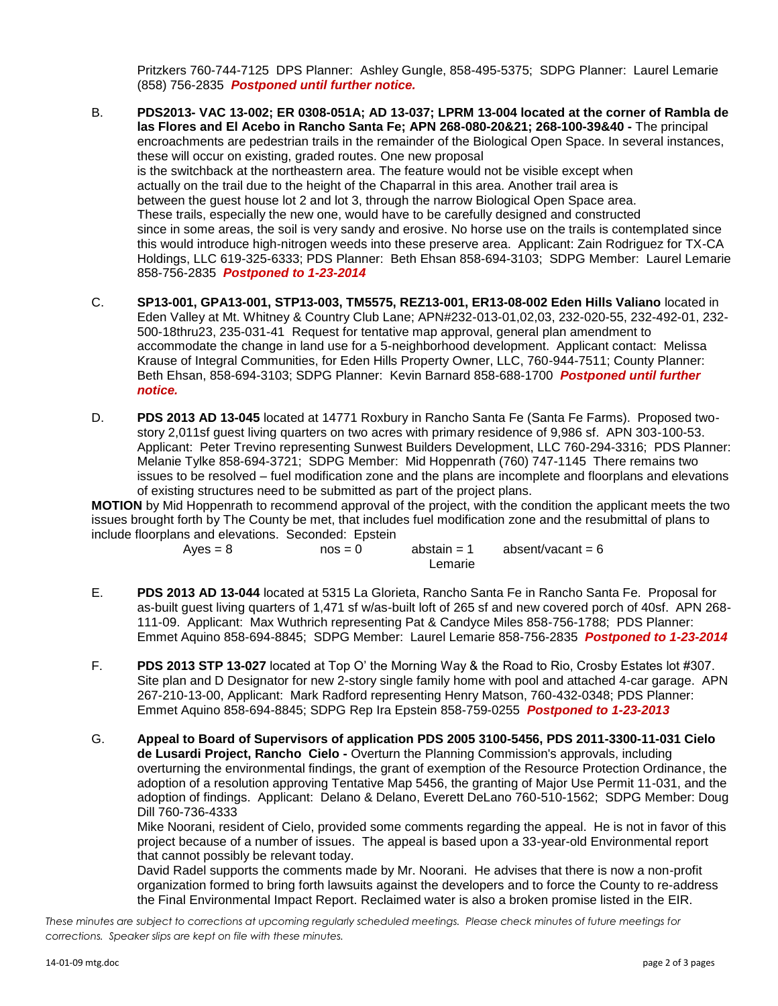Pritzkers 760-744-7125 DPS Planner: Ashley Gungle, 858-495-5375; SDPG Planner: Laurel Lemarie (858) 756-2835 *Postponed until further notice.*

- B. **PDS2013- VAC 13-002; ER 0308-051A; AD 13-037; LPRM 13-004 located at the corner of Rambla de las Flores and El Acebo in Rancho Santa Fe; APN 268-080-20&21; 268-100-39&40 -** The principal encroachments are pedestrian trails in the remainder of the Biological Open Space. In several instances, these will occur on existing, graded routes. One new proposal is the switchback at the northeastern area. The feature would not be visible except when actually on the trail due to the height of the Chaparral in this area. Another trail area is between the guest house lot 2 and lot 3, through the narrow Biological Open Space area. These trails, especially the new one, would have to be carefully designed and constructed since in some areas, the soil is very sandy and erosive. No horse use on the trails is contemplated since this would introduce high-nitrogen weeds into these preserve area. Applicant: Zain Rodriguez for TX-CA Holdings, LLC 619-325-6333; PDS Planner: Beth Ehsan 858-694-3103; SDPG Member: Laurel Lemarie 858-756-2835 *Postponed to 1-23-2014*
- C. **SP13-001, GPA13-001, STP13-003, TM5575, REZ13-001, ER13-08-002 Eden Hills Valiano** located in Eden Valley at Mt. Whitney & Country Club Lane; APN#232-013-01,02,03, 232-020-55, 232-492-01, 232- 500-18thru23, 235-031-41 Request for tentative map approval, general plan amendment to accommodate the change in land use for a 5-neighborhood development. Applicant contact: Melissa Krause of Integral Communities, for Eden Hills Property Owner, LLC, 760-944-7511; County Planner: Beth Ehsan, 858-694-3103; SDPG Planner: Kevin Barnard 858-688-1700 *Postponed until further notice.*
- D. **PDS 2013 AD 13-045** located at 14771 Roxbury in Rancho Santa Fe (Santa Fe Farms). Proposed twostory 2,011sf guest living quarters on two acres with primary residence of 9,986 sf. APN 303-100-53. Applicant: Peter Trevino representing Sunwest Builders Development, LLC 760-294-3316; PDS Planner: Melanie Tylke 858-694-3721; SDPG Member: Mid Hoppenrath (760) 747-1145 There remains two issues to be resolved – fuel modification zone and the plans are incomplete and floorplans and elevations of existing structures need to be submitted as part of the project plans.

**MOTION** by Mid Hoppenrath to recommend approval of the project, with the condition the applicant meets the two issues brought forth by The County be met, that includes fuel modification zone and the resubmittal of plans to include floorplans and elevations. Seconded: Epstein

> $Ayes = 8$  nos = 0 abstain = 1 absent/vacant = 6 Lemarie

- E. **PDS 2013 AD 13-044** located at 5315 La Glorieta, Rancho Santa Fe in Rancho Santa Fe. Proposal for as-built guest living quarters of 1,471 sf w/as-built loft of 265 sf and new covered porch of 40sf. APN 268- 111-09. Applicant: Max Wuthrich representing Pat & Candyce Miles 858-756-1788; PDS Planner: Emmet Aquino 858-694-8845; SDPG Member: Laurel Lemarie 858-756-2835 *Postponed to 1-23-2014*
- F. **PDS 2013 STP 13-027** located at Top O' the Morning Way & the Road to Rio, Crosby Estates lot #307. Site plan and D Designator for new 2-story single family home with pool and attached 4-car garage. APN 267-210-13-00, Applicant: Mark Radford representing Henry Matson, 760-432-0348; PDS Planner: Emmet Aquino 858-694-8845; SDPG Rep Ira Epstein 858-759-0255 *Postponed to 1-23-2013*
- G. **Appeal to Board of Supervisors of application PDS 2005 3100-5456, PDS 2011-3300-11-031 Cielo de Lusardi Project, Rancho Cielo -** Overturn the Planning Commission's approvals, including overturning the environmental findings, the grant of exemption of the Resource Protection Ordinance, the adoption of a resolution approving Tentative Map 5456, the granting of Major Use Permit 11-031, and the adoption of findings. Applicant: Delano & Delano, Everett DeLano 760-510-1562; SDPG Member: Doug Dill 760-736-4333

Mike Noorani, resident of Cielo, provided some comments regarding the appeal. He is not in favor of this project because of a number of issues. The appeal is based upon a 33-year-old Environmental report that cannot possibly be relevant today.

David Radel supports the comments made by Mr. Noorani. He advises that there is now a non-profit organization formed to bring forth lawsuits against the developers and to force the County to re-address the Final Environmental Impact Report. Reclaimed water is also a broken promise listed in the EIR.

*These minutes are subject to corrections at upcoming regularly scheduled meetings. Please check minutes of future meetings for corrections. Speaker slips are kept on file with these minutes.*